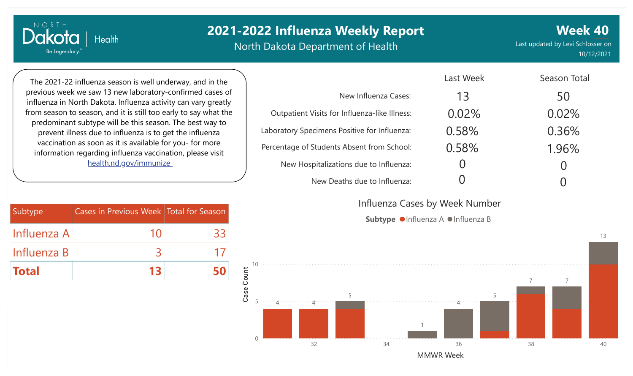North Dakota Department of Health

**Week 40** Last updated by Levi Schlosser on 10/12/2021

The 2021-22 influenza season is well underway, and in the previous week we saw 13 new laboratory-confirmed cases of influenza in North Dakota. Influenza activity can vary greatly from season to season, and it is still too early to say what the predominant subtype will be this season. The best way to prevent illness due to influenza is to get the influenza vaccination as soon as it is available for you- for more information regarding influenza vaccination, please visit [health.nd.gov/immunize](http://health.nd.gov/immunize) 

**Health** 

NORTH

Dakota

Be Legendary.

| <b>Subtype</b> | <b>Cases in Previous Week   Total for Season</b> |    |
|----------------|--------------------------------------------------|----|
| Influenza A    | 10                                               | 33 |
| Influenza B    | ゝ                                                | 17 |
| Total          | 13                                               |    |

|                                               | Last Week | Season Total |
|-----------------------------------------------|-----------|--------------|
| New Influenza Cases:                          | 13        | 50           |
| Outpatient Visits for Influenza-like Illness: | 0.02%     | 0.02%        |
| Laboratory Specimens Positive for Influenza:  | 0.58%     | 0.36%        |
| Percentage of Students Absent from School:    | 0.58%     | 1.96%        |
| New Hospitalizations due to Influenza:        |           |              |
| New Deaths due to Influenza:                  |           |              |

Influenza Cases by Week Number

Subtype  $\bullet$  Influenza A  $\bullet$  Influenza B



13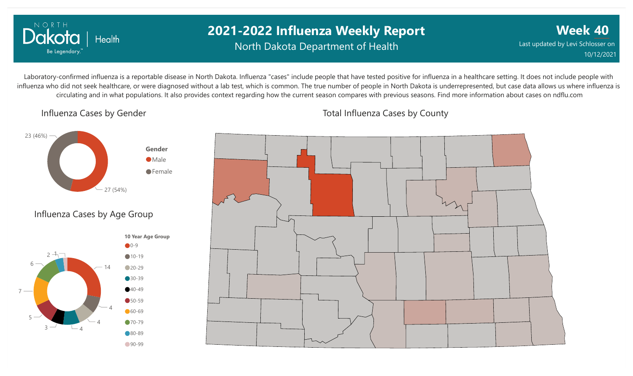

## **2021-2022 Influenza Weekly Report** North Dakota Department of Health

**Week 40** Last updated by Levi Schlosser on 10/12/2021

Laboratory-confirmed influenza is a reportable disease in North Dakota. Influenza "cases" include people that have tested positive for influenza in a healthcare setting. It does not include people with influenza who did not seek healthcare, or were diagnosed without a lab test, which is common. The true number of people in North Dakota is underrepresented, but case data allows us where influenza is circulating and in what populations. It also provides context regarding how the current season compares with previous seasons. Find more information about cases on ndflu.com

#### Influenza Cases by Gender



#### Influenza Cases by Age Group





Total Influenza Cases by County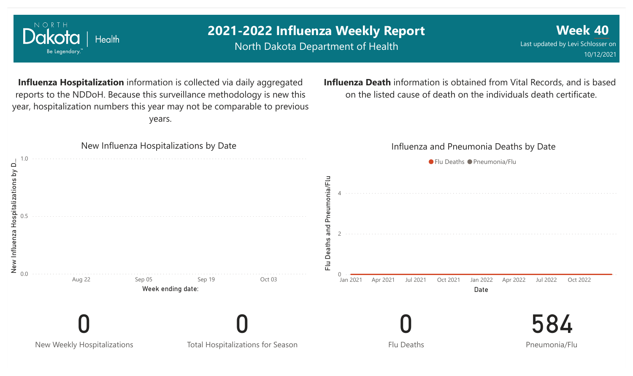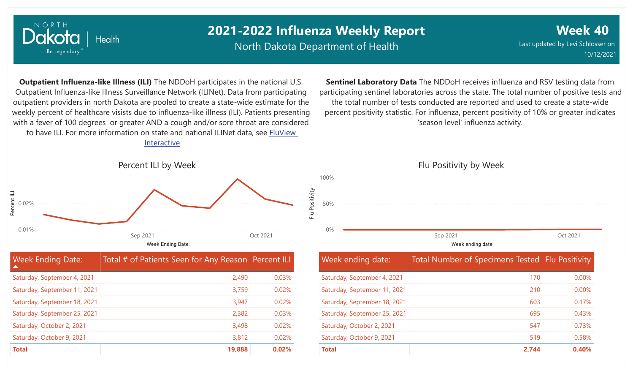

North Dakota Department of Health

**Week 40** Last updated by Levi Schlosser on 10/12/2021

**Outpatient Influenza-like Illness (ILI)** The NDDoH participates in the national U.S. Outpatient Influenza-like Illness Surveillance Network (ILINet). Data from participating outpatient providers in north Dakota are pooled to create a state-wide estimate for the weekly percent of healthcare visists due to influenza-like illness (ILI). Patients presenting with a fever of 100 degrees or greater AND a cough and/or sore throat are considered to have ILI. For more information [on state and national ILINet data, see FluView](http://fluview%20interactive/) Interactive

**Sentinel Laboratory Data** The NDDoH receives influenza and RSV testing data from participating sentinel laboratories across the state. The total number of positive tests and the total number of tests conducted are reported and used to create a state-wide percent positivity statistic. For influenza, percent positivity of 10% or greater indicates 'season level' influenza activity.



| <b>Week Ending Date:</b><br>A | Total # of Patients Seen for Any Reason   Percent ILI |       |
|-------------------------------|-------------------------------------------------------|-------|
| Saturday, September 4, 2021   | 2,490                                                 | 0.03% |
| Saturday, September 11, 2021  | 3,759                                                 | 0.02% |
| Saturday, September 18, 2021  | 3,947                                                 | 0.02% |
| Saturday, September 25, 2021  | 2,382                                                 | 0.03% |
| Saturday, October 2, 2021     | 3,498                                                 | 0.02% |
| Saturday, October 9, 2021     | 3,812                                                 | 0.02% |
| <b>Total</b>                  | 19,888                                                | 0.02% |

# Flu Positivity by Week 0% 50% 100% Week ending date: Sep 2021 Oct 2021

| <b>Week ending date:</b>     | Total Number of Specimens Tested Flu Positivity |          |
|------------------------------|-------------------------------------------------|----------|
| Saturday, September 4, 2021  | 170                                             | 0.00%    |
| Saturday, September 11, 2021 | 210                                             | $0.00\%$ |
| Saturday, September 18, 2021 | 603                                             | 0.17%    |
| Saturday, September 25, 2021 | 695                                             | 0.43%    |
| Saturday, October 2, 2021    | 547                                             | 0.73%    |
| Saturday, October 9, 2021    | 519                                             | 0.58%    |
| <b>Total</b>                 | 2,744                                           | 0.40%    |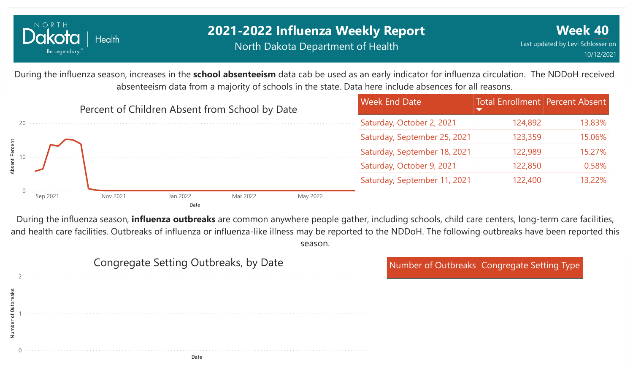

## **2021-2022 Influenza Weekly Report** North Dakota Department of Health

During the influenza season, increases in the **school absenteeism** data cab be used as an early indicator for influenza circulation. The NDDoH received absenteeism data from a majority of schools in the state. Data here include absences for all reasons.



During the influenza season, **influenza outbreaks** are common anywhere people gather, including schools, child care centers, long-term care facilities, and health care facilities. Outbreaks of influenza or influenza-like illness may be reported to the NDDoH. The following outbreaks have been reported this season.

|         | Congregate Setting Outbreaks, by Date | Number of Outbreaks Congregate Setting Type |
|---------|---------------------------------------|---------------------------------------------|
| $\circ$ |                                       |                                             |
|         |                                       |                                             |

Date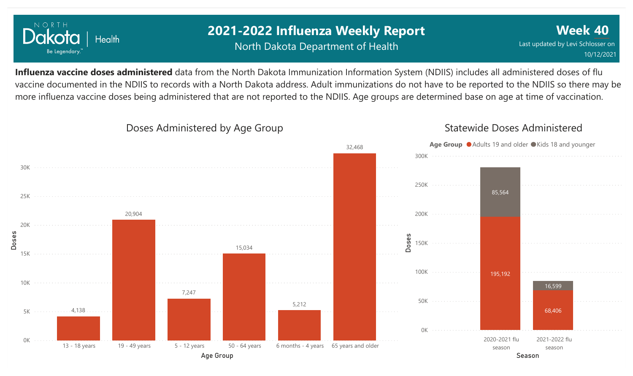

## **2021-2022 Influenza Weekly Report** North Dakota Department of Health

**Week 40** Last updated by Levi Schlosser on 10/12/2021

**Influenza vaccine doses administered** data from the North Dakota Immunization Information System (NDIIS) includes all administered doses of flu vaccine documented in the NDIIS to records with a North Dakota address. Adult immunizations do not have to be reported to the NDIIS so there may be more influenza vaccine doses being administered that are not reported to the NDIIS. Age groups are determined base on age at time of vaccination.

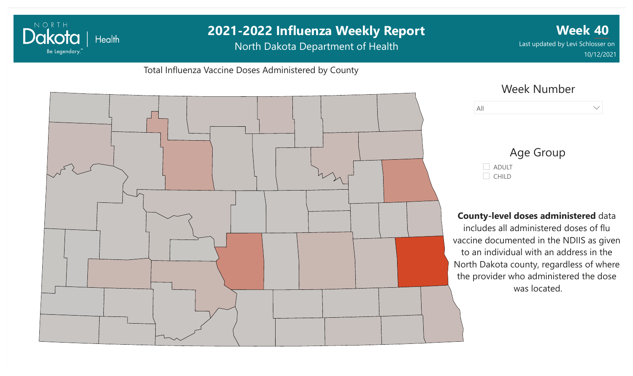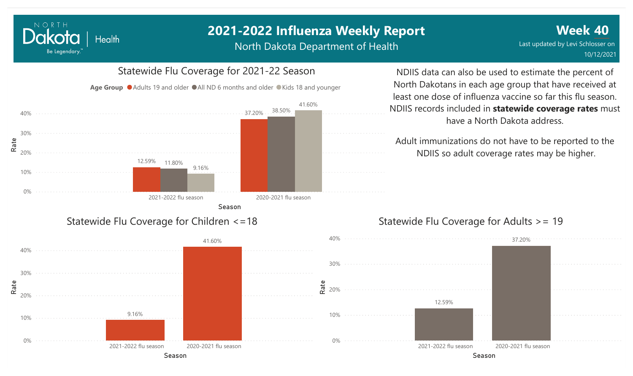North Dakota Department of Health

**Week 40** Last updated by Levi Schlosser on 10/12/2021



Season

NORTH

Dakota

Be Legendary.

**Health** 

NDIIS data can also be used to estimate the percent of North Dakotans in each age group that have received at least one dose of influenza vaccine so far this flu season. NDIIS records included in **statewide coverage rates** must have a North Dakota address.

Adult immunizations do not have to be reported to the NDIIS so adult coverage rates may be higher.

37.20%

#### Statewide Flu Coverage for Adults >= 19

12.59%

Season

2021-2022 flu season 2020-2021 flu season